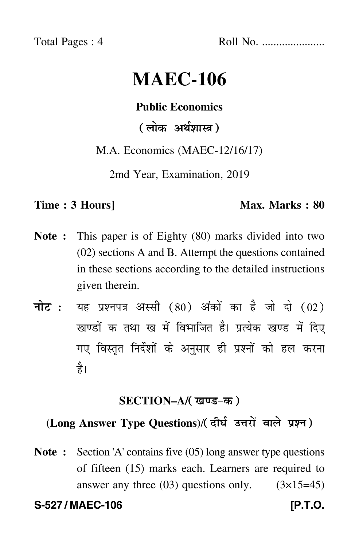Total Pages : 4 Roll No. ......................

# **MAEC-106**

#### **Public Economics**

(लोक अर्थशास्त्र)

M.A. Economics (MAEC-12/16/17)

2md Year, Examination, 2019

#### **Time : 3 Hours]** Max. Marks : 80

- **Note :** This paper is of Eighty (80) marks divided into two (02) sections A and B. Attempt the questions contained in these sections according to the detailed instructions given therein.
- नोट : यह प्रश्नपत्र अस्सी (80) अंकों का है जो दो (02) खण्डों क तथा ख में विभाजित है। प्रत्येक खण्ड में दिए गए विस्तृत निर्देशों के अनुसार ही प्रश्नों को हल करन<mark>ा</mark> है।

#### **SECTION–A/**

## (Long Answer Type Questions)/( दीर्घ उत्तरों वाले प्रश्न )

**Note :** Section 'A' contains five (05) long answer type questions of fifteen (15) marks each. Learners are required to answer any three  $(03)$  questions only.  $(3\times15=45)$ 

S-527 / MAEC-106 **[P.T.O.**]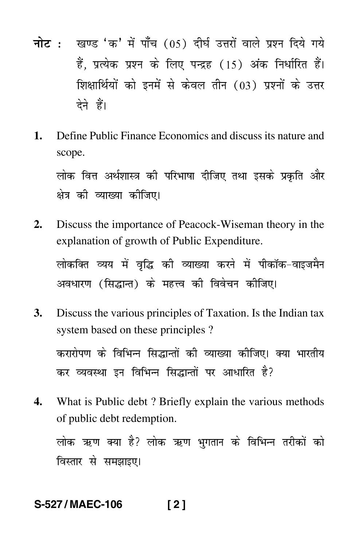- नोट : खण्ड 'क' में पाँच (05) दीर्घ उत्तरों वाले प्रश्न दिये गये हैं. प्रत्येक प्रश्न के लिए पन्द्रह (15) अंक निर्धारित हैं। शिक्षार्थियों को इनमें से केवल तीन (03) प्रश्नों के उत्तर देने हैं।
- 1. Define Public Finance Economics and discuss its nature and scope.

लोक वित्त अर्थशास्त्र की परिभाषा दीजिए तथा इसके प्रकृति और क्षेत्र की व्याख्या कीजिए।

- $2.$ Discuss the importance of Peacock-Wiseman theory in the explanation of growth of Public Expenditure. लोकक्ति व्यय में वद्धि की व्याख्या करने में पीकॉक-वाइजमैन अवधारण (सिद्धान्त) के महत्त्व की विवेचन कीजिए।
- **3.** Discuss the various principles of Taxation. Is the Indian tax system based on these principles ?

करारोपण के विभिन्न सिद्धान्तों की व्याख्या कोजिए। क्या भारतीय कर व्यवस्था इन विभिन्न सिद्धान्तों पर आधारित है?

What is Public debt? Briefly explain the various methods  $\mathbf{4}$ of public debt redemption.

लोक ऋण क्या है? लोक ऋण भगतान के विभिन्न तरीकों को विस्तार से समझाइए।

#### S-527/MAEC-106  $121$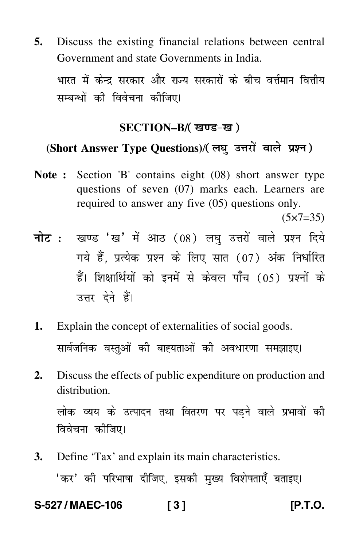**5.** Discuss the existing financial relations between central Government and state Governments in India.

भारत में केन्द्र सरकार आर राज्य सरकारा के बाँच वत्तमान वित्ताय<br>———————————————————— -सम्बन्धा का विवचना का<mark>ा</mark>जए।<br>'

#### **SECTION–B/**

### (Short Answer Type Questions)/(लघु उत्तरों वाले प्रश्न)

**Note :** Section 'B' contains eight (08) short answer type questions of seven (07) marks each. Learners are required to answer any five (05) questions only.

 $(5 \times 7 = 35)$ 

- <mark>नोट</mark> : खण्ड 'ख' में आठ (08) लघु उत्तरों वाले प्रश्न दिये गये हैं, प्रत्येक प्रश्न के लिए सात (07) अंक निर्धारित हैं। शिक्षार्थियों को इनमें से केवल पाँच (05) प्रश्नों के उत्तर देने हैं।
- **1.** Explain the concept of externalities of social goods. सावजानक वस्तुआ का बाह्यताओ का अवधारणा समझाइए।<br>' -
- **2.** Discuss the effects of public expenditure on production and distribution. लाक व्यय के उत्पादन तथा वितरण पर पड़न वाल प्रभावा का<br>e \ ---ाववचना कााजए।<br>'
- **3.** Define 'Tax' and explain its main characteristics. 'कर का पारमाषा पाणए, इसका मुख्य विरागताएँ बताइए।<br>' --

**S-527 / MAEC-106 [ 3 ] [P.T.O.**